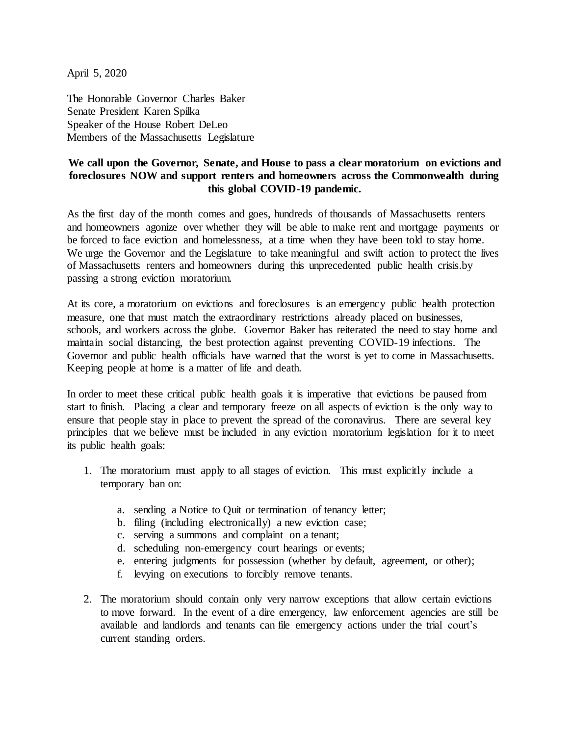April 5, 2020

The Honorable Governor Charles Baker Senate President Karen Spilka Speaker of the House Robert DeLeo Members of the Massachusetts Legislature

## **We call upon the Governor, Senate, and House to pass a clear moratorium on evictions and foreclosures NOW and support renters and homeowners across the Commonwealth during this global COVID-19 pandemic.**

As the first day of the month comes and goes, hundreds of thousands of Massachusetts renters and homeowners agonize over whether they will be able to make rent and mortgage payments or be forced to face eviction and homelessness, at a time when they have been told to stay home. We urge the Governor and the Legislature to take meaningful and swift action to protect the lives of Massachusetts renters and homeowners during this unprecedented public health crisis.by passing a strong eviction moratorium.

At its core, a moratorium on evictions and foreclosures is an emergency public health protection measure, one that must match the extraordinary restrictions already placed on businesses, schools, and workers across the globe. Governor Baker has reiterated the need to stay home and maintain social distancing, the best protection against preventing COVID-19 infections. The Governor and public health officials have warned that the worst is yet to come in Massachusetts. Keeping people at home is a matter of life and death.

In order to meet these critical public health goals it is imperative that evictions be paused from start to finish. Placing a clear and temporary freeze on all aspects of eviction is the only way to ensure that people stay in place to prevent the spread of the coronavirus. There are several key principles that we believe must be included in any eviction moratorium legislation for it to meet its public health goals:

- 1. The moratorium must apply to all stages of eviction. This must explicitly include a temporary ban on:
	- a. sending a Notice to Quit or termination of tenancy letter;
	- b. filing (including electronically) a new eviction case;
	- c. serving a summons and complaint on a tenant;
	- d. scheduling non-emergency court hearings or events;
	- e. entering judgments for possession (whether by default, agreement, or other);
	- f. levying on executions to forcibly remove tenants.
- 2. The moratorium should contain only very narrow exceptions that allow certain evictions to move forward. In the event of a dire emergency, law enforcement agencies are still be available and landlords and tenants can file emergency actions under the trial court's current standing orders.